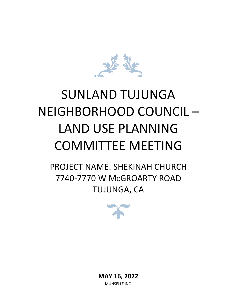

# SUNLAND TUJUNGA NEIGHBORHOOD COUNCIL – LAND USE PLANNING COMMITTEE MEETING

PROJECT NAME: SHEKINAH CHURCH 7740-7770 W McGROARTY ROAD TUJUNGA, CA



**MAY 16, 2022** MUNSELLE INC.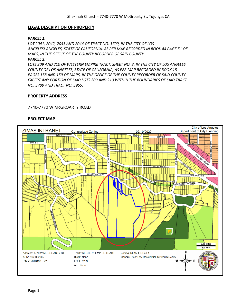## **LEGAL DESCRIPTION OF PROPERTY**

## *PARCEL 1:*

*LOT 2041, 2042, 2043 AND 2044 OF TRACT NO. 3709, IN THE CITY OF LOS ANGELES! ANGELES, STATE OF CALIFORNIA, AS PER MAP RECORDED IN BOOK 44 PAGE 51 OF MAPS, IN THE OFFICE OF THE COUNTY RECORDER OF SAID COUNTY.*

## *PARCEL 2:*

*LOTS 209 AND 210 OF WESTERN EMPIRE TRACT, SHEET NO. 3, IN THE CITY OF LOS ANGELES, COUNTY OF LOS ANGELES, STATE OF CALIFORNIA, AS PER MAP RECORDED IN BOOK 18 PAGES 158 AND 159 OF MAPS, IN THE OFFICE OF THE COUNTY RECORDER OF SAID COUNTY. EXCEPT ANY PORTION OF SAID LOTS 209 AND 210 WITHIN THE BOUNDARIES OF SAID TRACT NO. 3709 AND TRACT NO. 3955.*

## **PROPERTY ADDRESS**

## 7740-7770 W McGROARTY ROAD

## **PROJECT MAP**

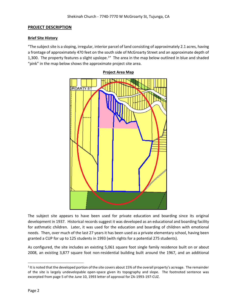## **PROJECT DESCRIPTION**

## **Brief Site History**

"The subject site is a sloping, irregular, interior parcel of land consisting of approximately 2.1 acres, having a frontage of approximately 470 feet on the south side of McGroarty Street and an approximate depth of 1,300. The property features a slight upslope.<sup>1</sup>" The area in the map below outlined in blue and shaded "pink" in the map below shows the approximate project site area.



The subject site appears to have been used for private education and boarding since its original development in 1937. Historical records suggest it was developed as an educational and boarding facility for asthmatic children. Later, it was used for the education and boarding of children with emotional needs. Then, over much of the last 27 years it has been used as a private elementary school, having been granted a CUP for up to 125 students in 1993 (with rights for a potential 275 students).

As configured, the site includes an existing 5,061 square foot single family residence built on or about 2008, an existing 3,877 square foot non-residential building built around the 1967, and an additional

# **Project Area Map**

<sup>&</sup>lt;sup>1</sup> It is noted that the developed portion of the site covers about 15% of the overall property's acreage. The remainder of the site is largely undevelopable open-space given its topography and slope. The footnoted sentence was excerpted from page 5 of the June 10, 1993 letter of approval for ZA-1993-197-CUZ.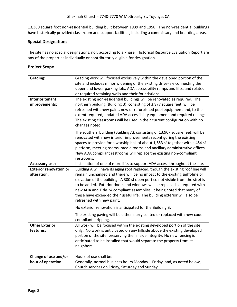13,360 square foot non-residential building built between 1939 and 1958. The non-residential buildings have historically provided class-room and support facilities, including a commissary and boarding areas.

# **Special Designations**

The site has no special designations, nor, according to a Phase I Historical Resource Evaluation Report are any of the properties individually or contributorily eligible for designation.

## **Project Scope**

| Grading:                      | Grading work will focused exclusively within the developed portion of the                                                                                   |
|-------------------------------|-------------------------------------------------------------------------------------------------------------------------------------------------------------|
|                               | site and includes minor widening of the existing drive-isle connecting the                                                                                  |
|                               | upper and lower parking lots, ADA accessibility ramps and lifts, and related<br>or required retaining walls and their foundations.                          |
| <b>Interior tenant</b>        | The existing non-residential buildings will be renovated as required. The                                                                                   |
| improvements:                 | northern building (Building B), consisting of 3,877 square feet, will be                                                                                    |
|                               | refreshed with new paint, new or refurbished pool equipment and, to the                                                                                     |
|                               | extent required, updated ADA accessibility equipment and required railings.<br>The existing classrooms will be used in their current configuration with no  |
|                               | changes noted.                                                                                                                                              |
|                               | The southern building (Building A), consisting of 13,907 square feet, will be                                                                               |
|                               | renovated with new interior improvements reconfiguring the existing                                                                                         |
|                               | spaces to provide for a worship hall of about 1,653 sf together with a 454 sf                                                                               |
|                               | platform, meeting rooms, media rooms and ancillary administrative offices.<br>New ADA compliant restrooms will replace the existing non-compliant           |
|                               | restrooms.                                                                                                                                                  |
| <b>Accessory use:</b>         | Installation of one of more lifts to support ADA access throughout the site.                                                                                |
| <b>Exterior renovation or</b> | Building A will have its aging roof replaced, though the existing roof line will                                                                            |
| alteration:                   | remain unchanged and there will be no impact to the existing sight-line or                                                                                  |
|                               | elevation of the building. A 300 sf open portico not visible from the stret is<br>to be added. Exterior doors and windows will be replaced as required with |
|                               | new ADA and Title 24 compliant assemblies, it being noted that many of                                                                                      |
|                               | these have exceeded their useful life. The building exterior will also be                                                                                   |
|                               | refreshed with new paint.                                                                                                                                   |
|                               | No exterior renovation is anticipated for the Building B.                                                                                                   |
|                               | The existing paving will be either slurry coated or replaced with new code<br>compliant stripping.                                                          |
| <b>Other Exterior</b>         | All work will be focused within the existing developed portion of the site                                                                                  |
| features:                     | only. No work is anticipated on any hillside above the existing developed                                                                                   |
|                               | portion of the site, preserving the hillside integrity. No new fencing is<br>anticipated to be installed that would separate the property from its          |
|                               | neighbors.                                                                                                                                                  |
|                               |                                                                                                                                                             |
| Change of use and/or          | Hours of use shall be:                                                                                                                                      |
| hour of operation:            | Generally, normal business hours Monday - Friday and, as noted below,                                                                                       |
|                               | Church services on Friday, Saturday and Sunday.                                                                                                             |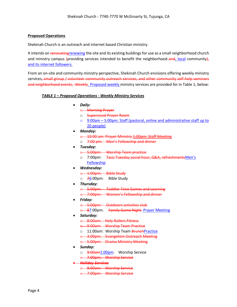## **Proposed Operations**

Shekinah Church is an outreach and internet based Christian ministry.

It intends on renovating renewing the site and its existing buildings for use as a small neighborhood church and ministry campus (providing services intended to benefit the neighborhood and, local community), and its internet followers.

From an on-site and community ministry perspective, Shekinah Church envisions offering weekly ministry services, small group / volunteer community outreach services, and other community self-help seminars and neighborhood events. Weekly. Proposed weekly ministry services are provided for in Table 1, below:

## *TABLE 1 – Proposed Operations - Weekly Ministry Services*

- *Daily:* 
	- o Morning Prayer
	- o Supervised Prayer Room
	- o 9:00am 5:00pm: Staff (pastoral, online and administrative staff up to 20 people)
- *Monday:*
	- o 10:00 am: Prayer Ministry 1:00pm: Staff Meeting
	- o 7:00 pm: Men's Fellowship and dinner
- *Tuesday:*
	- o 5:00pm: Worship Team practice
	- o 7:00pm: Taco Tuesday social hour, Q&A, refreshmentsMen's Fellowship
- *Wednesday:*
	- o 1:00pm: Bible Study
	- $\circ$  76:00pm: Bible Study
- *Thursday:*
	- o 5:00pm: Toddler Time Games and Learning
	- o 7:00pm: Women's Fellowship and dinner
- *Friday:*
	- o 5:00pm: Outdoors activities club
	- **e** 87:00pm: Family Game Night Prayer Meeting
- *Saturday:*
	- o 8:00am: Holy Rollers Fitness
	- o 9:00am: Worship Team Practice
	- o 11:00am: Worship Team **BrunchPractice**
	- o 3:00pm: Evangelism Outreach Meeting
	- o 5:00pm: Drama Ministry Meeting
- *Sunday:*
	- o 9:00am1:00pm: Worship Service
	- o 7:00pm: Worship Service
- *Holiday Services* 
	- o 9:00am: Worship Service
	- o 7:00pm: Worship Service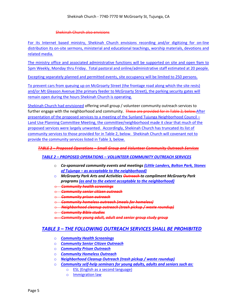#### Shekinah Church also envisions

For its Internet based ministry, Shekinah Church envisions recording and/or digitizing for on-line distribution its on-site sermons, ministerial and educational teachings, worship materials, devotions and related media.

The ministry office and associated administrative functions will be supported on site and open 9am to 5pm Weekly, Monday thru Friday. Total pastoral and online/administrative staff estimated at 20 people.

Excepting separately planned and permitted events, site occupancy will be limited to 250 persons.

To prevent cars from queuing up on McGroarty Street (the frontage road along which the site rests) and/or Mt Gleason Avenue (the primary feeder to McGroarty Street), the parking security gates will remain open during the hours Shekinah Church is operating.

Shekinah Church had envisioned offering small group / volunteer community outreach services to further engage with the neighborhood and community. These are provided for in Table 2, below. After presentation of the proposed services to a meeting of the Sunland Tujunga Neighborhood Council – Land Use Planning Committee Meeting, the committee/neighborhood made it clear that much of the proposed services were largely unwanted. Accordingly, Shekinah Church has truncated its list of community services to those provided for in Table 2, below. Shekinah Church will covenant not to provide the community services listed in Table 3, below.

## *TABLE 2 – Proposed Operations – Small Group and Volunteer Community Outreach Services*

## *TABLE 2 – PROPOSED OPERATIONS – VOLUNTEER COMMUNITY OUTREACH SERVICES*

- o *Co-sponsored community events and meetings (Little Landers, Bolton Park, Stones of Tujunga – as acceptable to the neighborhood)*
- o *McGroarty Park Arts and Activities Outreach to compliment McGroarty Park programs (as and to the extent acceptable to the neighborhood)*
- o *Community health screenings*
- o *Community senior citizen outreach*
- o *Community prison outreach*
- o *Community homeless outreach (meals for homeless)*
- o *Neighborhood cleanup outreach (trash pickup / waste roundup)*
- o *Community Bible studies*
- o *Community young adult, adult and senior group study group*

# *TABLE 3 – THE FOLLOWING OUTREACH SERVICES SHALL BE PROHIBITED*

- o *Community Health Screenings*
- o *Community Senior Citizen Outreach*
- o *Community Prison Outreach*
- o *Community Homeless Outreach*
- o *Neighborhood Cleanup Outreach (trash pickup / waste roundup)*
- o *Community self-help seminars for young adults, adults and seniors such as:*
	- o ESL (English as a second language)
	- o **Immigration law**